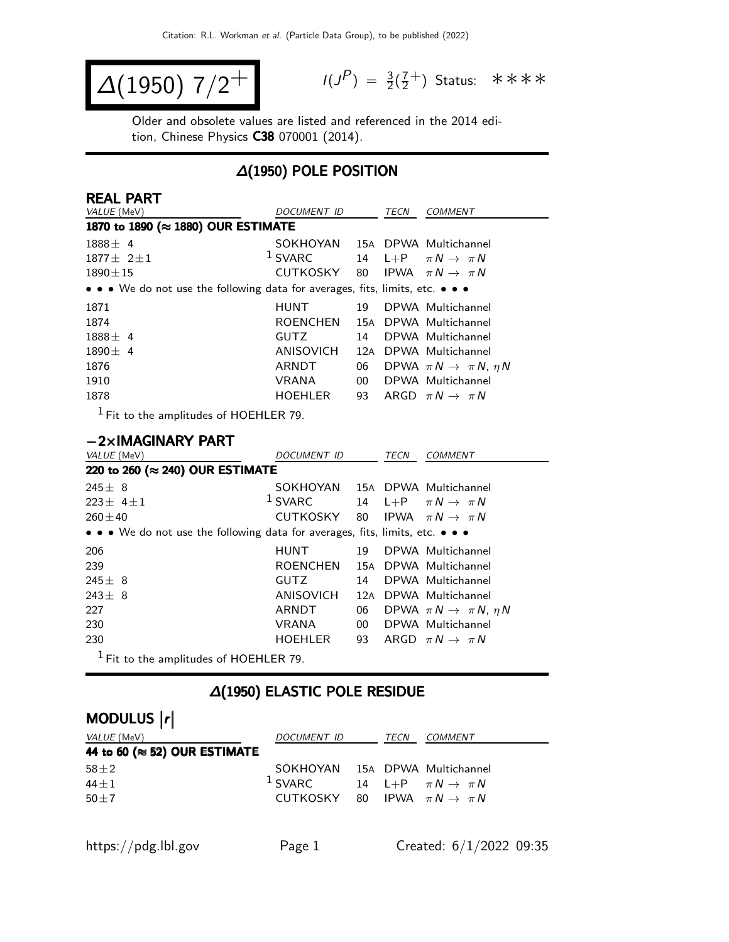$$
\Delta(1950) 7/2^+ \qquad \qquad ^{\frac{1}{3}}
$$

 $P$ ) =  $\frac{3}{2}(\frac{7}{2})$  $\frac{7}{2}^+$ ) Status: \*\*\*\*

Older and obsolete values are listed and referenced in the 2014 edition, Chinese Physics C38 070001 (2014).

### ∆(1950) POLE POSITION

| <b>REAL PART</b>                                                                                                      |                 |     |      |                                           |
|-----------------------------------------------------------------------------------------------------------------------|-----------------|-----|------|-------------------------------------------|
| VALUE (MeV)                                                                                                           | DOCUMENT ID     |     | TECN | COMMENT                                   |
| 1870 to 1890 (≈ 1880) OUR ESTIMATE                                                                                    |                 |     |      |                                           |
| $1888 \pm 4$                                                                                                          | SOKHOYAN        |     |      | 15A DPWA Multichannel                     |
| $1877 \pm 211$                                                                                                        | $1$ SVARC       |     |      | 14 L+P $\pi N \rightarrow \pi N$          |
| $1890 \pm 15$                                                                                                         | CUTKOSKY        | 80  |      | IPWA $\pi N \rightarrow \pi N$            |
| $\bullet \bullet \bullet$ We do not use the following data for averages, fits, limits, etc. $\bullet \bullet \bullet$ |                 |     |      |                                           |
| 1871                                                                                                                  | <b>HUNT</b>     | 19. |      | DPWA Multichannel                         |
| 1874                                                                                                                  | <b>ROENCHEN</b> |     |      | 15A DPWA Multichannel                     |
| $1888 \pm 4$                                                                                                          | <b>GUTZ</b>     | 14  |      | DPWA Multichannel                         |
| $1890 \pm 4$                                                                                                          | ANISOVICH       | 12A |      | DPWA Multichannel                         |
| 1876                                                                                                                  | ARNDT           | 06  |      | DPWA $\pi N \rightarrow \pi N$ , $\eta N$ |
| 1910                                                                                                                  | <b>VRANA</b>    | 00  |      | DPWA Multichannel                         |
| 1878                                                                                                                  | <b>HOEHLER</b>  | 93  |      | ARGD $\pi N \rightarrow \pi N$            |
| $1 -$                                                                                                                 |                 |     |      |                                           |

1 Fit to the amplitudes of HOEHLER 79.

#### −2×IMAGINARY PART

| VALUE (MeV)                                                                                                           | <i>DOCUMENT ID</i> |                 | TECN | <b>COMMENT</b>                            |
|-----------------------------------------------------------------------------------------------------------------------|--------------------|-----------------|------|-------------------------------------------|
| 220 to 260 (≈ 240) OUR ESTIMATE                                                                                       |                    |                 |      |                                           |
| $245 \pm 8$                                                                                                           | SOKHOYAN           |                 |      | 15A DPWA Multichannel                     |
| $223 \pm 4 \pm 1$                                                                                                     | $1$ SVARC          | 14              |      | L+P $\pi N \rightarrow \pi N$             |
| $260 \pm 40$                                                                                                          | CUTKOSKY           | 80              |      | IPWA $\pi N \rightarrow \pi N$            |
| $\bullet \bullet \bullet$ We do not use the following data for averages, fits, limits, etc. $\bullet \bullet \bullet$ |                    |                 |      |                                           |
| 206                                                                                                                   | <b>HUNT</b>        | 19              |      | DPWA Multichannel                         |
| 239                                                                                                                   | <b>ROENCHEN</b>    |                 |      | 15A DPWA Multichannel                     |
| $245 \pm 8$                                                                                                           | GUTZ               | 14              |      | DPWA Multichannel                         |
| $243 \pm 8$                                                                                                           | ANISOVICH          | 12A             |      | DPWA Multichannel                         |
| 227                                                                                                                   | ARNDT              | 06              |      | DPWA $\pi N \rightarrow \pi N$ , $\eta N$ |
| 230                                                                                                                   | <b>VRANA</b>       | 00 <sup>°</sup> |      | DPWA Multichannel                         |
| 230                                                                                                                   | <b>HOEHLER</b>     | 93              |      | ARGD $\pi N \rightarrow \pi N$            |
| $1$ Fit to the amplitudes of HOEHLER 79.                                                                              |                    |                 |      |                                           |

#### ∆(1950) ELASTIC POLE RESIDUE

# MODULUS |r|

| <i>VALUE</i> (MeV)                    | DOCUMENT ID                                | TECN | <i>COMMENT</i>                   |
|---------------------------------------|--------------------------------------------|------|----------------------------------|
| 44 to 60 ( $\approx$ 52) OUR ESTIMATE |                                            |      |                                  |
| $58 \pm 2$                            | SOKHOYAN 15A DPWA Multichannel             |      |                                  |
| $44 \pm 1$                            | $^1$ SVARC                                 |      | 14 L+P $\pi N \rightarrow \pi N$ |
| $50 \pm 7$                            | CUTKOSKY 80 IPWA $\pi N \rightarrow \pi N$ |      |                                  |
|                                       |                                            |      |                                  |
|                                       |                                            |      |                                  |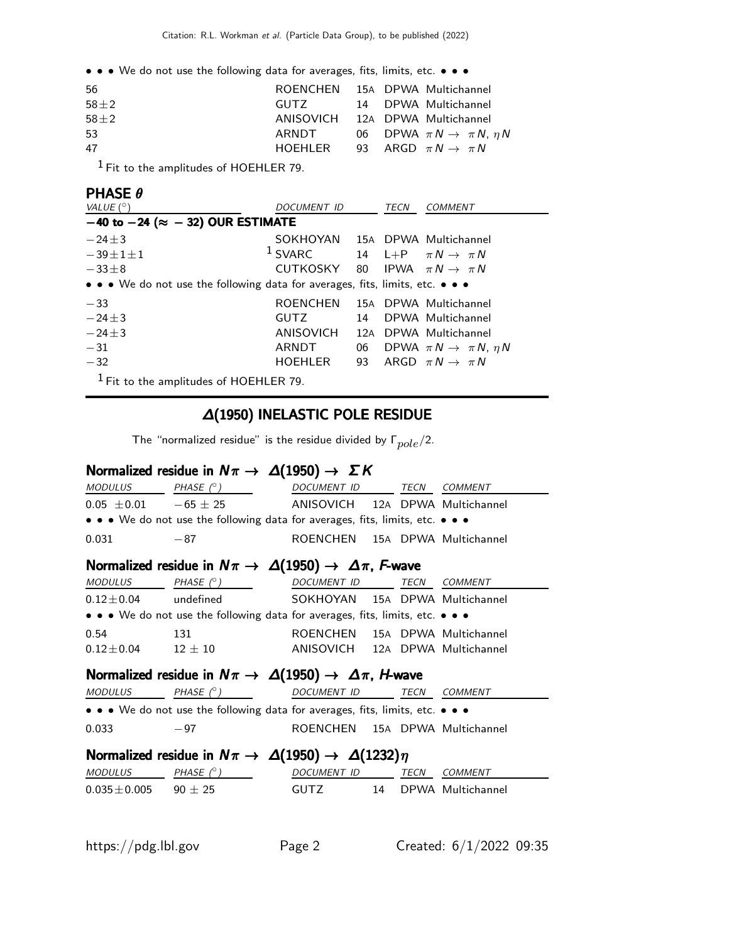• • • We do not use the following data for averages, fits, limits, etc. • • •

| 56       |       | ROENCHEN 15A DPWA Multichannel               |
|----------|-------|----------------------------------------------|
| $58\pm2$ |       | GUTZ 14 DPWA Multichannel                    |
| $58\pm2$ |       | ANISOVICH 12A DPWA Multichannel              |
| -53      | ARNDT | 06 DPWA $\pi N \rightarrow \pi N$ , $\eta N$ |
| 47       |       | HOEHLER 93 ARGD $\pi N \rightarrow \pi N$    |
|          |       |                                              |

 $<sup>1</sup>$  Fit to the amplitudes of HOEHLER 79.</sup>

#### PHASE θ

| VALUE $(^\circ)$                                                              | DOCUMENT ID                                         |    | TECN | <b>COMMENT</b>                               |
|-------------------------------------------------------------------------------|-----------------------------------------------------|----|------|----------------------------------------------|
| $-40$ to $-24$ ( $\approx -32$ ) OUR ESTIMATE                                 |                                                     |    |      |                                              |
| $-24\pm 3$                                                                    | SOKHOYAN                                            |    |      | 15A DPWA Multichannel                        |
| $-39\pm1\pm1$                                                                 | <sup>1</sup> SVARC 14 L+P $\pi N \rightarrow \pi N$ |    |      |                                              |
| $-33\pm8$                                                                     | CUTKOSKY                                            |    |      | 80 IPWA $\pi N \rightarrow \pi N$            |
| • • • We do not use the following data for averages, fits, limits, etc. • • • |                                                     |    |      |                                              |
| $-33$                                                                         | <b>ROENCHEN</b>                                     |    |      | 15A DPWA Multichannel                        |
| $-24+3$                                                                       | GUTZ                                                | 14 |      | DPWA Multichannel                            |
| $-24+3$                                                                       | ANISOVICH                                           |    |      | 12A DPWA Multichannel                        |
| $-31$                                                                         | ARNDT                                               |    |      | 06 DPWA $\pi N \rightarrow \pi N$ , $\eta N$ |
| $-32$                                                                         | <b>HOEHLER</b>                                      |    |      | 93 ARGD $\pi N \rightarrow \pi N$            |
| $1$ $\Gamma$ is a shareholder of HOEHLED 70.                                  |                                                     |    |      |                                              |

Fit to the amplitudes of HOEHLER 79.

### ∆(1950) INELASTIC POLE RESIDUE

The "normalized residue" is the residue divided by  $\Gamma_{pole}/2$ .

#### Normalized residue in  $N\pi \rightarrow \Delta(1950) \rightarrow \Sigma K$

| MODULUS PHASE $(^\circ)$      |                                                                                                                       | DOCUMENT ID TECN                |  |      | COMMENT              |  |  |
|-------------------------------|-----------------------------------------------------------------------------------------------------------------------|---------------------------------|--|------|----------------------|--|--|
| $0.05 \pm 0.01 -65 \pm 25$    |                                                                                                                       | ANISOVICH 12A DPWA Multichannel |  |      |                      |  |  |
|                               | $\bullet \bullet \bullet$ We do not use the following data for averages, fits, limits, etc. $\bullet \bullet \bullet$ |                                 |  |      |                      |  |  |
| 0.031                         | $-87$                                                                                                                 | ROENCHEN 15A DPWA Multichannel  |  |      |                      |  |  |
|                               | Normalized residue in $N\pi \to \Delta(1950) \to \Delta\pi$ , F-wave                                                  |                                 |  |      |                      |  |  |
| MODULUS                       | PHASE $(^\circ)$                                                                                                      | DOCUMENT ID                     |  |      | TECN COMMENT         |  |  |
| $0.12\pm0.04$                 | undefined                                                                                                             | SOKHOYAN 15A DPWA Multichannel  |  |      |                      |  |  |
|                               | • • • We do not use the following data for averages, fits, limits, etc. • • •                                         |                                 |  |      |                      |  |  |
| 0.54                          | 131                                                                                                                   | ROENCHEN 15A DPWA Multichannel  |  |      |                      |  |  |
| $0.12 \pm 0.04$ $12 \pm 10$   |                                                                                                                       | ANISOVICH 12A DPWA Multichannel |  |      |                      |  |  |
|                               | Normalized residue in $N\pi \to \Delta(1950) \to \Delta\pi$ , <i>H</i> -wave                                          |                                 |  |      |                      |  |  |
| <b>MODULUS</b>                | PHASE $(^\circ)$                                                                                                      | DOCUMENT ID                     |  |      | TECN COMMENT         |  |  |
|                               | • • • We do not use the following data for averages, fits, limits, etc. • • •                                         |                                 |  |      |                      |  |  |
| 0.033                         | $-97$                                                                                                                 | ROENCHEN 15A DPWA Multichannel  |  |      |                      |  |  |
|                               | Normalized residue in $N\pi \to \Delta(1950) \to \Delta(1232)\eta$                                                    |                                 |  |      |                      |  |  |
| <b>MODULUS</b>                | PHASE $(^\circ)$                                                                                                      | DOCUMENT ID                     |  | TECN | COMMENT              |  |  |
| $0.035 \pm 0.005$ 90 $\pm$ 25 |                                                                                                                       | <b>GUTZ</b>                     |  |      | 14 DPWA Multichannel |  |  |
|                               |                                                                                                                       |                                 |  |      |                      |  |  |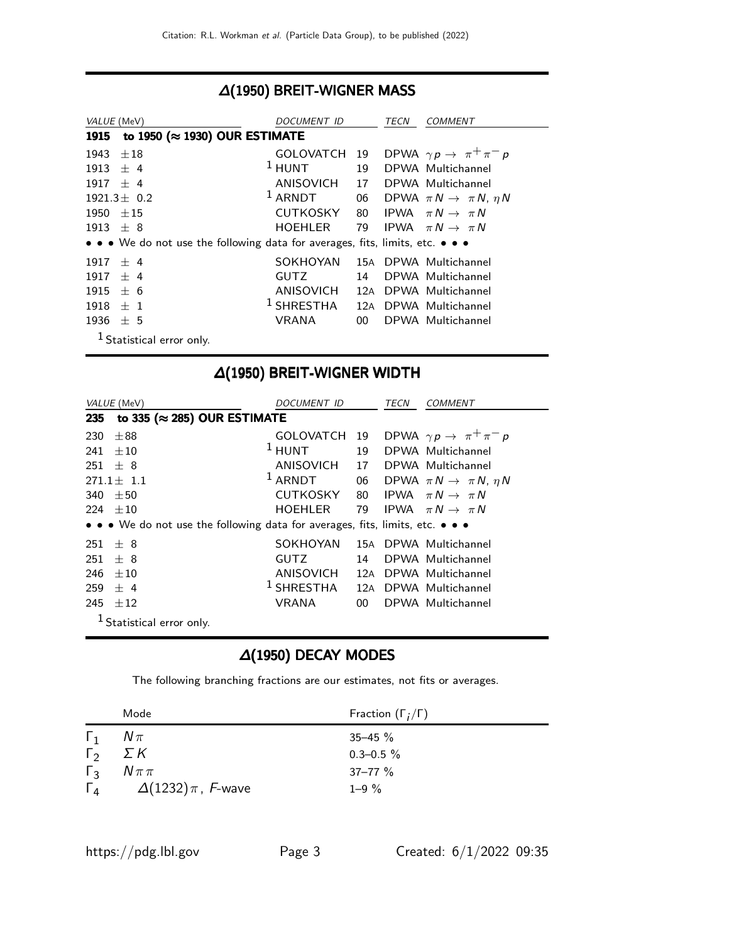#### ∆(1950) BREIT-WIGNER MASS

| VALUE (MeV)      |                                                                               | DOCUMENT ID        |        | TECN | COMMENT                                      |
|------------------|-------------------------------------------------------------------------------|--------------------|--------|------|----------------------------------------------|
| 1915             | to 1950 ( $\approx$ 1930) OUR ESTIMATE                                        |                    |        |      |                                              |
| 1943             | $\pm 18$                                                                      | <b>GOLOVATCH</b>   | 19     |      | DPWA $\gamma p \rightarrow \pi^+ \pi^- p$    |
| 1913             | $+4$                                                                          | $1$ HUNT           | 19     |      | DPWA Multichannel                            |
| $1917 + 4$       |                                                                               | ANISOVICH          | 17     |      | DPWA Multichannel                            |
| $1921.3 \pm 0.2$ |                                                                               | <sup>1</sup> ARNDT |        |      | 06 DPWA $\pi N \rightarrow \pi N$ , $\eta N$ |
| 1950             | $+15$                                                                         | <b>CUTKOSKY</b>    | 80     |      | IPWA $\pi N \rightarrow \pi N$               |
| 1913             | $+8$                                                                          | <b>HOEHLER</b>     | 79     |      | IPWA $\pi N \rightarrow \pi N$               |
|                  | • • • We do not use the following data for averages, fits, limits, etc. • • • |                    |        |      |                                              |
| 1917             | $+4$                                                                          | SOKHOYAN           |        |      | 15A DPWA Multichannel                        |
| 1917             | $+4$                                                                          | <b>GUTZ</b>        | 14     |      | DPWA Multichannel                            |
| 1915             | $+6$                                                                          | ANISOVICH          | 12A    |      | DPWA Multichannel                            |
| 1918             | $+1$                                                                          | $^1$ SHRESTHA      |        |      | 12A DPWA Multichannel                        |
| 1936             | ± 5                                                                           | <b>VRANA</b>       | $00 -$ |      | DPWA Multichannel                            |
|                  | <sup>1</sup> Statistical error only.                                          |                    |        |      |                                              |

## ∆(1950) BREIT-WIGNER WIDTH

| <i>VALUE</i> (MeV)                                                            | <i>DOCUMENT ID</i> |        | TECN<br><i>COMMENT</i>                       |
|-------------------------------------------------------------------------------|--------------------|--------|----------------------------------------------|
| to 335 ( $\approx$ 285) OUR ESTIMATE<br>235                                   |                    |        |                                              |
| $\pm$ 88<br>230                                                               | GOLOVATCH          | 19     | DPWA $\gamma p \rightarrow \pi^+ \pi^- p$    |
| $+10$<br>241                                                                  | $1$ HUNT           | 19     | DPWA Multichannel                            |
| $251 + 8$                                                                     | ANISOVICH          |        | 17 DPWA Multichannel                         |
| $271.1 \pm 1.1$                                                               | $1$ ARNDT          |        | 06 DPWA $\pi N \rightarrow \pi N$ , $\eta N$ |
| 340<br>$+50$                                                                  | <b>CUTKOSKY</b>    | 80     | IPWA $\pi N \rightarrow \pi N$               |
| $+10$<br>224                                                                  | HOEHLER            | 79     | IPWA $\pi N \rightarrow \pi N$               |
| • • • We do not use the following data for averages, fits, limits, etc. • • • |                    |        |                                              |
| 251<br>$+8$                                                                   | SOKHOYAN           | 15A    | DPWA Multichannel                            |
| $+8$<br>251                                                                   | <b>GUTZ</b>        | 14     | DPWA Multichannel                            |
| 246<br>$+10$                                                                  | ANISOVICH          | 12A    | DPWA Multichannel                            |
| $+4$<br>259                                                                   | $1$ SHRESTHA       |        | 12A DPWA Multichannel                        |
| 245<br>±12                                                                    | VRANA              | $00-1$ | DPWA Multichannel                            |
| Statistical error only.                                                       |                    |        |                                              |

#### ∆(1950) DECAY MODES

The following branching fractions are our estimates, not fits or averages.

|            | Mode                                          | Fraction $(\Gamma_i/\Gamma)$ |
|------------|-----------------------------------------------|------------------------------|
| $\vert$ 1  | $N\pi$                                        | $35 - 45 \%$                 |
| $\Gamma_2$ | $\Sigma K$                                    | $0.3 - 0.5 \%$               |
| $\Gamma_3$ | $N\pi\pi$                                     | $37 - 77$ %                  |
|            | $\Gamma_4$ $\Delta(1232)\pi$ , <i>F</i> -wave | $1 - 9 \%$                   |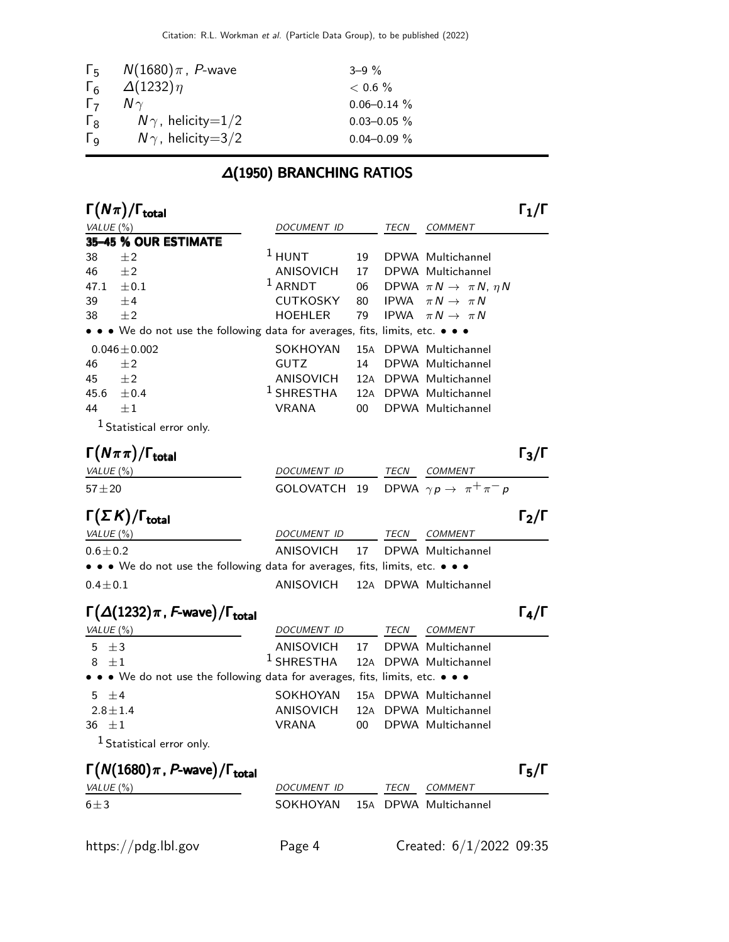|                       | $\Gamma_5$ $N(1680)\pi$ , <i>P</i> -wave | $3 - 9\%$        |
|-----------------------|------------------------------------------|------------------|
| $\Gamma_6$            | $\Delta(1232)\eta$                       | $< 0.6 \%$       |
| $\Gamma$              | $N \gamma$                               | $0.06 - 0.14 \%$ |
| $\Gamma_{8}$          | $N\gamma$ , helicity=1/2                 | $0.03 - 0.05 \%$ |
| $\Gamma_{\mathsf{Q}}$ | $N\gamma$ , helicity=3/2                 | $0.04 - 0.09 \%$ |

## ∆(1950) BRANCHING RATIOS

| $\Gamma(N\pi)/\Gamma_{\rm total}$                                             |                  |     |             |                                           | $\mathsf{\Gamma}_1/\mathsf{\Gamma}$ |
|-------------------------------------------------------------------------------|------------------|-----|-------------|-------------------------------------------|-------------------------------------|
| VALUE (%)                                                                     | DOCUMENT ID      |     | TECN        | <b>COMMENT</b>                            |                                     |
| 35-45 % OUR ESTIMATE                                                          |                  |     |             |                                           |                                     |
| 38<br>±2                                                                      | $1$ HUNT         | 19  |             | DPWA Multichannel                         |                                     |
| ±2<br>46                                                                      | ANISOVICH        | 17  |             | DPWA Multichannel                         |                                     |
| 47.1<br>$\pm 0.1$                                                             | $1$ ARNDT        | 06  |             | DPWA $\pi N \rightarrow \pi N$ , $\eta N$ |                                     |
| ±4<br>39                                                                      | <b>CUTKOSKY</b>  | 80  | <b>IPWA</b> | $\pi N \rightarrow \pi N$                 |                                     |
| ±2<br>38                                                                      | <b>HOEHLER</b>   | 79  | <b>IPWA</b> | $\pi N \rightarrow \pi N$                 |                                     |
| • • • We do not use the following data for averages, fits, limits, etc. • • • |                  |     |             |                                           |                                     |
| $0.046 \pm 0.002$                                                             | SOKHOYAN         | 15A |             | DPWA Multichannel                         |                                     |
| 46<br>±2                                                                      | <b>GUTZ</b>      | 14  |             | DPWA Multichannel                         |                                     |
| $\pm 2$<br>45                                                                 | <b>ANISOVICH</b> | 12A |             | DPWA Multichannel                         |                                     |
| 45.6<br>$\pm 0.4$                                                             | $1$ SHRESTHA     | 12A |             | DPWA Multichannel                         |                                     |
| $\pm 1$<br>44                                                                 | <b>VRANA</b>     | 00  |             | DPWA Multichannel                         |                                     |
| $1$ Statistical error only.                                                   |                  |     |             |                                           |                                     |
| $\Gamma(N\pi\pi)/\Gamma_{\rm total}$                                          |                  |     |             |                                           | $\Gamma_3/\Gamma$                   |
| VALUE(%)                                                                      | DOCUMENT ID      |     | TECN        | COMMENT                                   |                                     |
| $57 + 20$                                                                     | GOLOVATCH        | 19  |             | DPWA $\gamma p \rightarrow \pi^+ \pi^- p$ |                                     |
| $\Gamma(\Sigma K)/\Gamma_{\rm total}$                                         |                  |     |             |                                           | $\Gamma_2/\Gamma$                   |
| VALUE(%)                                                                      | DOCUMENT ID      |     | TECN        | <b>COMMENT</b>                            |                                     |
| $0.6 \pm 0.2$                                                                 | <b>ANISOVICH</b> | 17  |             | DPWA Multichannel                         |                                     |
| • • • We do not use the following data for averages, fits, limits, etc. • • • |                  |     |             |                                           |                                     |
|                                                                               |                  |     |             |                                           |                                     |
| $0.4 \pm 0.1$                                                                 | ANISOVICH        |     |             | 12A DPWA Multichannel                     |                                     |
| $\Gamma(\Delta(1232)\pi, F$ -wave)/ $\Gamma_{\text{total}}$                   |                  |     |             |                                           | $\Gamma_4/\Gamma$                   |
| VALUE (%)                                                                     | DOCUMENT ID      |     | TECN        | <b>COMMENT</b>                            |                                     |
| ±3<br>5                                                                       | ANISOVICH        | 17  |             | DPWA Multichannel                         |                                     |
| $\pm 1$<br>8                                                                  | $1$ SHRESTHA     | 12A |             | DPWA Multichannel                         |                                     |
| • • • We do not use the following data for averages, fits, limits, etc. • • • |                  |     |             |                                           |                                     |
| 5 $\pm$ 4                                                                     | SOKHOYAN         | 15A |             | DPWA Multichannel                         |                                     |
| $2.8 \pm 1.4$                                                                 | <b>ANISOVICH</b> | 12A |             | DPWA Multichannel                         |                                     |
| 36 $\pm 1$                                                                    | <b>VRANA</b>     | 00  |             | DPWA Multichannel                         |                                     |
| <sup>1</sup> Statistical error only.                                          |                  |     |             |                                           |                                     |
| $\Gamma(N(1680)\pi, P$ -wave)/ $\Gamma_{\text{total}}$                        |                  |     |             |                                           | $\Gamma_5/\Gamma$                   |
|                                                                               |                  |     |             | <b>COMMENT</b>                            |                                     |
| VALUE (%)                                                                     | DOCUMENT ID      |     | TECN        |                                           |                                     |
| $6 \pm 3$                                                                     | SOKHOYAN         |     |             | 15A DPWA Multichannel                     |                                     |
|                                                                               |                  |     |             |                                           |                                     |
| https://pdg.lbl.gov                                                           | Page 4           |     |             | Created: $6/1/2022$ 09:35                 |                                     |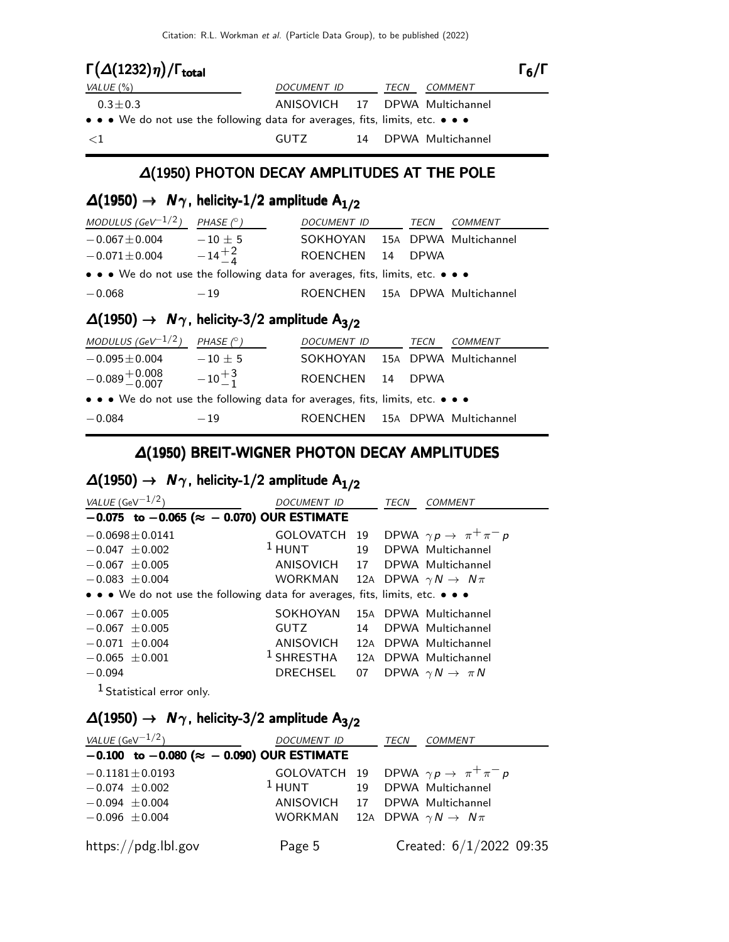| $\Gamma(\Delta(1232)\eta)/\Gamma_{\rm total}$                                 |                                |    |      |                   | $\Gamma_6/\Gamma$ |
|-------------------------------------------------------------------------------|--------------------------------|----|------|-------------------|-------------------|
| VALUE $(\%)$                                                                  | <i>DOCUMENT ID</i>             |    | TECN | <i>COMMENT</i>    |                   |
| $0.3 \pm 0.3$                                                                 | ANISOVICH 17 DPWA Multichannel |    |      |                   |                   |
| • • • We do not use the following data for averages, fits, limits, etc. • • • |                                |    |      |                   |                   |
| $\leq$ 1                                                                      | GUTZ.                          | 14 |      | DPWA Multichannel |                   |

#### ∆(1950) PHOTON DECAY AMPLITUDES AT THE POLE

### $\Delta(1950)$  →  $N_{\gamma}$ , helicity-1/2 amplitude  $A_{1/2}$

| MODULUS (GeV <sup>-1/2</sup> )                                                | PHASE $(^\circ)$   | DOCUMENT ID     |    | TECN        | COMMENT               |  |
|-------------------------------------------------------------------------------|--------------------|-----------------|----|-------------|-----------------------|--|
| $-0.067 \pm 0.004$                                                            | $-10\pm 5$         | SOKHOYAN        |    |             | 15A DPWA Multichannel |  |
| $-0.071 \pm 0.004$                                                            | $-14\frac{+2}{-4}$ | <b>ROENCHEN</b> | 14 | <b>DPWA</b> |                       |  |
| • • • We do not use the following data for averages, fits, limits, etc. • • • |                    |                 |    |             |                       |  |
| $-0.068$                                                                      | $-19$              | ROENCHEN        |    |             | 15A DPWA Multichannel |  |
| $\Delta(1950) \rightarrow N\gamma$ , helicity-3/2 amplitude A <sub>3/2</sub>  |                    |                 |    |             |                       |  |
| MODULUS (GeV <sup>-1/2</sup> )                                                | PHASE $(^\circ)$   | DOCUMENT ID     |    | <i>TECN</i> | COMMENT               |  |

| $-0.095 \pm 0.004$                                                            | $-10 + 5$       | SOKHOYAN 15A DPWA Multichannel |  |  |
|-------------------------------------------------------------------------------|-----------------|--------------------------------|--|--|
| $-0.089 + 0.008$                                                              | $-10^{+3}_{-1}$ | ROENCHEN 14 DPWA               |  |  |
| • • • We do not use the following data for averages, fits, limits, etc. • • • |                 |                                |  |  |
| $-0.084$                                                                      | $-19$           | ROENCHEN 15A DPWA Multichannel |  |  |

#### ∆(1950) BREIT-WIGNER PHOTON DECAY AMPLITUDES

### $\Delta(1950)$  →  $N_{\gamma}$ , helicity-1/2 amplitude  $A_{1/2}$

| VALUE (GeV $^{-1/2}$ )                                                        | DOCUMENT ID                                   |    | TECN | COMMENT                                        |  |  |
|-------------------------------------------------------------------------------|-----------------------------------------------|----|------|------------------------------------------------|--|--|
| $-0.075$ to $-0.065$ ( $\approx -0.070$ ) OUR ESTIMATE                        |                                               |    |      |                                                |  |  |
| $-0.0698 \pm 0.0141$                                                          |                                               |    |      | GOLOVATCH 19 DPWA $\gamma p \to \pi^+ \pi^- p$ |  |  |
| $-0.047 + 0.002$                                                              | $1$ HUNT                                      |    |      | 19 DPWA Multichannel                           |  |  |
| $-0.067 \pm 0.005$                                                            | ANISOVICH 17 DPWA Multichannel                |    |      |                                                |  |  |
| $-0.083 \pm 0.004$                                                            | WORKMAN 12A DPWA $\gamma N \rightarrow N \pi$ |    |      |                                                |  |  |
| • • • We do not use the following data for averages, fits, limits, etc. • • • |                                               |    |      |                                                |  |  |
| $-0.067 \pm 0.005$                                                            | SOKHOYAN                                      |    |      | 15A DPWA Multichannel                          |  |  |
| $-0.067 \pm 0.005$                                                            | <b>GUTZ</b>                                   |    |      | 14 DPWA Multichannel                           |  |  |
| $-0.071 \pm 0.004$                                                            | ANISOVICH                                     |    |      | 12A DPWA Multichannel                          |  |  |
| $-0.065 \pm 0.001$                                                            | <sup>1</sup> SHRESTHA 12A DPWA Multichannel   |    |      |                                                |  |  |
| $-0.094$                                                                      | DRECHSEL                                      | 07 |      | DPWA $\gamma N \rightarrow \pi N$              |  |  |
| - 1                                                                           |                                               |    |      |                                                |  |  |

<sup>1</sup> Statistical error only.

### $\Delta(1950)$  →  $N_{\gamma}$ , helicity-3/2 amplitude  $A_{3/2}$

| <i>VALUE</i> (GeV $^{-1/2}$ )                          | DOCUMENT ID                                   |  | TECN COMMENT                                           |
|--------------------------------------------------------|-----------------------------------------------|--|--------------------------------------------------------|
| $-0.100$ to $-0.080$ ( $\approx -0.090$ ) OUR ESTIMATE |                                               |  |                                                        |
| $-0.1181 \pm 0.0193$                                   |                                               |  | GOLOVATCH 19 DPWA $\gamma p \rightarrow \pi^+ \pi^- p$ |
| $-0.074 \pm 0.002$                                     | $1$ HUNT 19 DPWA Multichannel                 |  |                                                        |
| $-0.094 \pm 0.004$                                     | ANISOVICH 17 DPWA Multichannel                |  |                                                        |
| $-0.096 \pm 0.004$                                     | WORKMAN 12A DPWA $\gamma N \rightarrow N \pi$ |  |                                                        |
| https://pdg.lbl.gov                                    | Page 5                                        |  | Created: $6/1/2022$ 09:35                              |